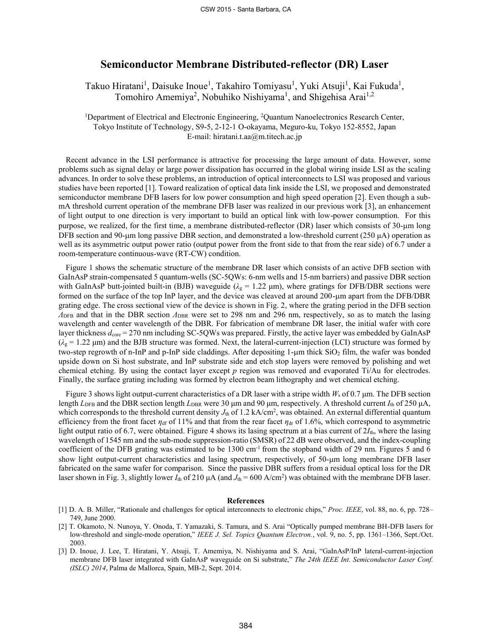## **Semiconductor Membrane Distributed-reflector (DR) Laser**

Takuo Hiratani<sup>1</sup>, Daisuke Inoue<sup>1</sup>, Takahiro Tomiyasu<sup>1</sup>, Yuki Atsuji<sup>1</sup>, Kai Fukuda<sup>1</sup>, Tomohiro Amemiya<sup>2</sup>, Nobuhiko Nishiyama<sup>1</sup>, and Shigehisa Arai<sup>1,2</sup>

<sup>1</sup>Department of Electrical and Electronic Engineering, <sup>2</sup>Quantum Nanoelectronics Research Center, Tokyo Institute of Technology, S9-5, 2-12-1 O-okayama, Meguro-ku, Tokyo 152-8552, Japan E-mail: hiratani.t.aa@m.titech.ac.jp

Recent advance in the LSI performance is attractive for processing the large amount of data. However, some problems such as signal delay or large power dissipation has occurred in the global wiring inside LSI as the scaling advances. In order to solve these problems, an introduction of optical interconnects to LSI was proposed and various studies have been reported [1]. Toward realization of optical data link inside the LSI, we proposed and demonstrated semiconductor membrane DFB lasers for low power consumption and high speed operation [2]. Even though a submA threshold current operation of the membrane DFB laser was realized in our previous work [3], an enhancement of light output to one direction is very important to build an optical link with low-power consumption. For this purpose, we realized, for the first time, a membrane distributed-reflector (DR) laser which consists of 30-µm long DFB section and 90-μm long passive DBR section, and demonstrated a low-threshold current (250 μA) operation as well as its asymmetric output power ratio (output power from the front side to that from the rear side) of 6.7 under a room-temperature continuous-wave (RT-CW) condition.

Figure 1 shows the schematic structure of the membrane DR laser which consists of an active DFB section with GaInAsP strain-compensated 5 quantum-wells (SC-5QWs: 6-nm wells and 15-nm barriers) and passive DBR section with GaInAsP butt-jointed built-in (BJB) waveguide ( $\lambda_g = 1.22 \mu m$ ), where gratings for DFB/DBR sections were formed on the surface of the top InP layer, and the device was cleaved at around 200-um apart from the DFB/DBR grating edge. The cross sectional view of the device is shown in Fig. 2, where the grating period in the DFB section *Λ*<sub>DFB</sub> and that in the DBR section *Λ*<sub>DBR</sub> were set to 298 nm and 296 nm, respectively, so as to match the lasing wavelength and center wavelength of the DBR. For fabrication of membrane DR laser, the initial wafer with core layer thickness  $d_{\text{core}} = 270$  nm including SC-5QWs was prepared. Firstly, the active layer was embedded by GaInAsP  $(\lambda_g = 1.22 \,\mu m)$  and the BJB structure was formed. Next, the lateral-current-injection (LCI) structure was formed by two-step regrowth of n-InP and p-InP side claddings. After depositing  $1$ -µm thick  $SiO<sub>2</sub>$  film, the wafer was bonded upside down on Si host substrate, and InP substrate side and etch stop layers were removed by polishing and wet chemical etching. By using the contact layer except *p* region was removed and evaporated Ti/Au for electrodes. Finally, the surface grating including was formed by electron beam lithography and wet chemical etching.

Figure 3 shows light output-current characteristics of a DR laser with a stripe width *W*<sup>s</sup> of 0.7 μm. The DFB section length *L*<sub>DFB</sub> and the DBR section length *L*<sub>DBR</sub> were 30 μm and 90 μm, respectively. A threshold current *I*<sub>th</sub> of 250 μA, which corresponds to the threshold current density  $J_{th}$  of 1.2 kA/cm<sup>2</sup>, was obtained. An external differential quantum efficiency from the front facet  $\eta_{df}$  of 11% and that from the rear facet  $\eta_{dr}$  of 1.6%, which correspond to asymmetric light output ratio of 6.7, were obtained. Figure 4 shows its lasing spectrum at a bias current of  $2I_{th}$ , where the lasing wavelength of 1545 nm and the sub-mode suppression-ratio (SMSR) of 22 dB were observed, and the index-coupling coefficient of the DFB grating was estimated to be  $1300 \text{ cm}^{-1}$  from the stopband width of 29 nm. Figures 5 and 6 show light output-current characteristics and lasing spectrum, respectively, of 50-µm long membrane DFB laser fabricated on the same wafer for comparison. Since the passive DBR suffers from a residual optical loss for the DR laser shown in Fig. 3, slightly lower  $I_{th}$  of 210  $\mu A$  (and  $J_{th} = 600$  A/cm<sup>2</sup>) was obtained with the membrane DFB laser.

## **References**

- [1] D. A. B. Miller, "Rationale and challenges for optical interconnects to electronic chips," *Proc. IEEE*, vol. 88, no. 6, pp. 728– 749, June 2000.
- [2] T. Okamoto, N. Nunoya, Y. Onoda, T. Yamazaki, S. Tamura, and S. Arai "Optically pumped membrane BH-DFB lasers for low-threshold and single-mode operation," *IEEE J. Sel. Topics Quantum Electron.*, vol. 9, no. 5, pp. 1361–1366, Sept./Oct. 2003.
- [3] D. Inoue, J. Lee, T. Hiratani, Y. Atsuji, T. Amemiya, N. Nishiyama and S. Arai, "GaInAsP/InP lateral-current-injection membrane DFB laser integrated with GaInAsP waveguide on Si substrate," *The 24th IEEE Int. Semiconductor Laser Conf. (ISLC) 2014*, Palma de Mallorca, Spain, MB-2, Sept. 2014.